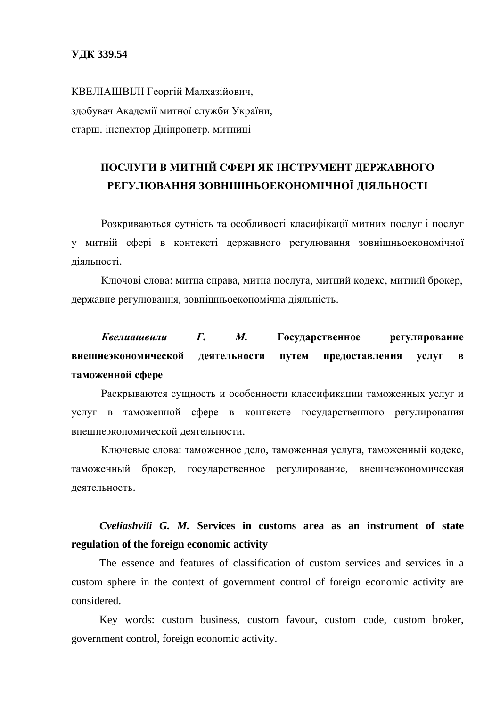КВЕЛІАШВІЛІ Георгій Малхазійович, здобувач Академії митної служби України, старш. інспектор Дніпропетр. митниці

## ПОСЛУГИ В МИТНІЙ СФЕРІ ЯК ІНСТРУМЕНТ ДЕРЖАВНОГО РЕГУЛЮВАННЯ ЗОВНІШНЬОЕКОНОМІЧНОЇ ДІЯЛЬНОСТІ

Розкриваються сутність та особливості класифікації митних послуг і послуг у митній сфері в контексті державного регулювання зовнішньоекономічної ліяльності.

Ключові слова: митна справа, митна послуга, митний кодекс, митний брокер, державне регулювання, зовнішньоекономічна діяльність.

## Квелиашвили Г. М. Государственное регулирование внешнеэкономической деятельности путем предоставления услуг в таможенной сфере

Раскрываются сущность и особенности классификации таможенных услуг и услуг в таможенной сфере в контексте государственного регулирования внешнеэкономической деятельности.

Ключевые слова: таможенное дело, таможенная услуга, таможенный кодекс, таможенный брокер, государственное регулирование, внешнеэкономическая деятельность.

## *Cveliashvili G. M.* **Services in customs area as an instrument of state regulation of the foreign economic activity**

The essence and features of classification of custom services and services in a custom sphere in the context of government control of foreign economic activity are considered.

Key words: custom business, custom favour, custom code, custom broker, government control, foreign economic activity.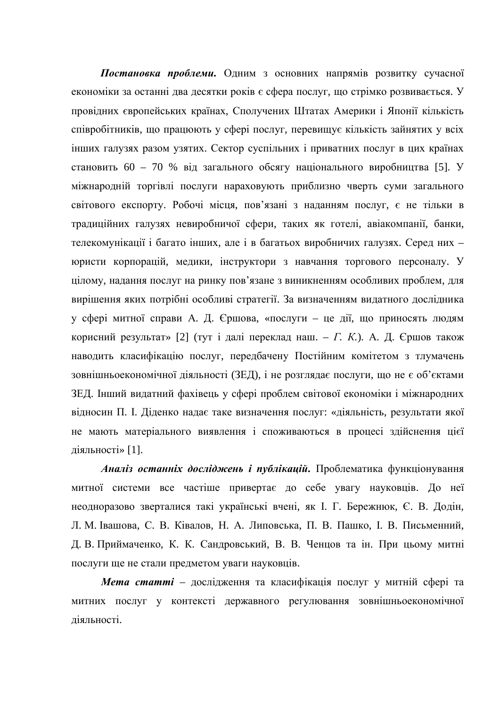Постановка проблеми. Одним з основних напрямів розвитку сучасної економіки за останні два десятки років є сфера послуг, що стрімко розвивається. У провідних європейських країнах, Сполучених Штатах Америки і Японії кількість співробітників, що працюють у сфері послуг, перевищує кількість зайнятих у всіх інших галузях разом узятих. Сектор суспільних і приватних послуг в цих країнах становить 60 – 70 % від загального обсягу національного виробництва [5]. У міжнародній торгівлі послуги нараховують приблизно чверть суми загального світового експорту. Робочі місця, пов'язані з наданням послуг, є не тільки в традиційних галузях невиробничої сфери, таких як готелі, авіакомпанії, банки, телекомунікації і багато інших, але і в багатьох виробничих галузях. Серед них – юристи корпорацій, медики, інструктори з навчання торгового персоналу. У цілому, надання послуг на ринку пов'язане з виникненням особливих проблем, для вирішення яких потрібні особливі стратегії. За визначенням видатного дослідника у сфері митної справи А. Д. Єршова, «послуги – це дії, що приносять людям корисний результат» [2] (тут *і далі переклад наш. – Г. К.*). А. Д. Єршов також наводить класифікацію послуг, передбачену Постійним комітетом з тлумачень зовнішньоекономічної діяльності (ЗЕД), і не розглядає послуги, що не є об'єктами ЗЕД. Інший видатний фахівець у сфері проблем світової економіки і міжнародних відносин П. І. Діденко надає таке визначення послуг: «діяльність, результати якої не мають матеріального виявлення і споживаються в процесі здійснення цієї діяльності» [1].

Аналіз останніх досліджень і публікацій. Проблематика функціонування митної системи все частіше привертає до себе увагу науковців. До неї неодноразово зверталися такі українські вчені, як І. Г. Бережнюк, Є. В. Додін, Л. М. Івашова, С. В. Ківалов, Н. А. Липовська, П. В. Пашко, І. В. Письменний, Д. В. Приймаченко, К. К. Сандровський, В. В. Ченцов та ін. При цьому митні послуги ще не стали предметом уваги науковців.

*Мета статті* – дослідження та класифікація послуг у митній сфері та митних послуг у контексті державного регулювання зовнішньоекономічної діяльності.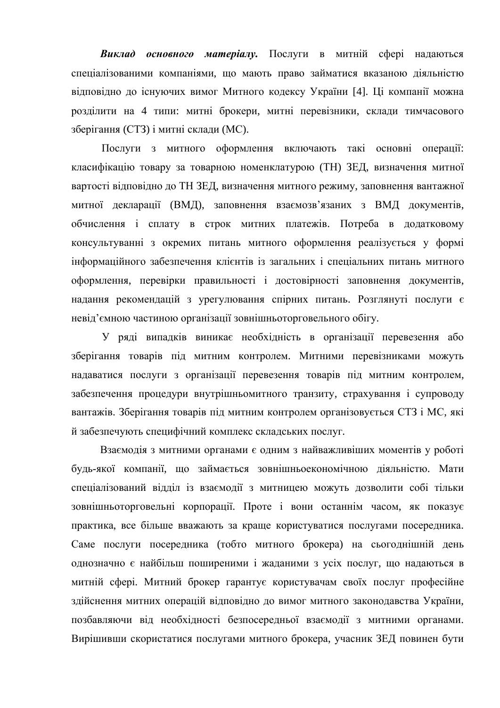Виклад основного матеріалу. Послуги в митній сфері надаються спеціалізованими компаніями, що мають право займатися вказаною діяльністю відповідно до існуючих вимог Митного кодексу України [4]. Ці компанії можна розділити на 4 типи: митні брокери, митні перевізники, склади тимчасового зберігання (СТЗ) і митні склади (МС).

Послуги з митного оформлення включають такі основні операції: класифікацію товару за товарною номенклатурою (ТН) ЗЕД, визначення митної вартості відповідно до ТН ЗЕД, визначення митного режиму, заповнення вантажної митної декларації (ВМД), заповнення взаємозв'язаних з ВМД документів, обчислення і сплату в строк митних платежів. Потреба в додатковому консультуванні з окремих питань митного оформлення реалізується у формі інформаційного забезпечення клієнтів із загальних і спеціальних питань митного оформлення, перевірки правильності і достовірності заповнення документів, надання рекомендацій з урегулювання спірних питань. Розглянуті послуги є невід'ємною частиною організації зовнішньоторговельного обігу.

У ряді випадків виникає необхідність в організації перевезення або зберігання товарів під митним контролем. Митними перевізниками можуть надаватися послуги з організації перевезення товарів під митним контролем, забезпечення процедури внутрішньомитного транзиту, страхування і супроводу вантажів. Зберігання товарів під митним контролем організовується СТЗ і МС, які й забезпечують специфічний комплекс складських послуг.

Взаємодія з митними органами є одним з найважливіших моментів у роботі будь-якої компанії, що займається зовнішньоекономічною діяльністю. Мати спеціалізований відділ із взаємодії з митницею можуть дозволити собі тільки зовнішньоторговельні корпорації. Проте і вони останнім часом, як показує практика, все більше вважають за краще користуватися послугами посередника. Саме послуги посередника (тобто митного брокера) на сьогоднішній день однозначно є найбільш поширеними і жаданими з усіх послуг, що надаються в митній сфері. Митний брокер гарантує користувачам своїх послуг професійне здійснення митних операцій відповідно до вимог митного законодавства України, позбавляючи від необхідності безпосередньої взаємодії з митними органами. Вирішивши скористатися послугами митного брокера, учасник ЗЕД повинен бути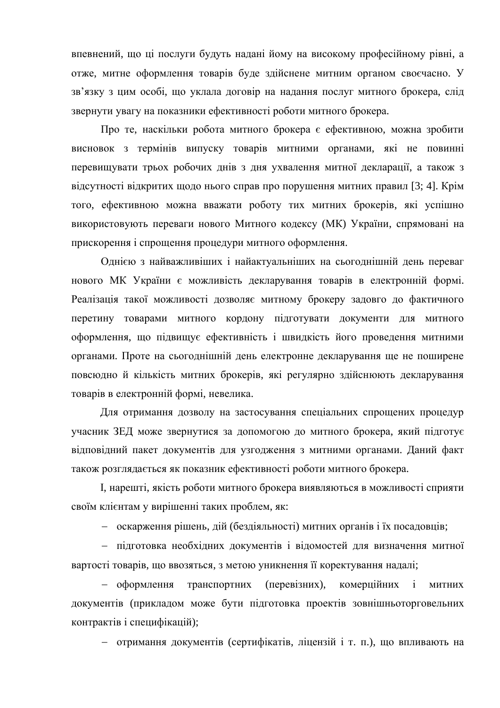впевнений, що ці послуги будуть надані йому на високому професійному рівні, а отже, митне оформлення товарів буде здійснене митним органом своєчасно. У зв'язку з цим особі, що уклала договір на надання послуг митного брокера, слід звернути увагу на показники ефективності роботи митного брокера.

Про те, наскільки робота митного брокера є ефективною, можна зробити висновок з термінів випуску товарів митними органами, які не повинні перевищувати трьох робочих днів з дня ухвалення митної декларації, а також з відсутності відкритих щодо нього справ про порушення митних правил [3; 4]. Крім того, ефективною можна вважати роботу тих митних брокерів, які успішно використовують переваги нового Митного кодексу (МК) України, спрямовані на прискорення і спрощення процедури митного оформлення.

Однією з найважливіших і найактуальніших на сьогоднішній день переваг нового МК України є можливість декларування товарів в електронній формі. Реалізація такої можливості дозволяє митному брокеру задовго до фактичного перетину товарами митного кордону підготувати документи для митного оформлення, що підвищує ефективність і швидкість його проведення митними органами. Проте на сьогоднішній день електронне декларування ще не поширене повсюдно й кількість митних брокерів, які регулярно здійснюють декларування товарів в електронній формі, невелика.

Для отримання дозволу на застосування спеціальних спрощених процедур үчасник ЗЕД може звернутися за допомогою до митного брокера, який підготує відповідний пакет документів для узгодження з митними органами. Даний факт також розглядається як показник ефективності роботи митного брокера.

I, нарешті, якість роботи митного брокера виявляються в можливості сприяти своїм клієнтам у вирішенні таких проблем, як:

**• оскарження рішень, дій (бездіяльності) митних органів і їх посадовців;** 

- підготовка необхідних документів і відомостей для визначення митної вартості товарів, що ввозяться, з метою уникнення її коректування надалі;

- оформлення транспортних (перевізних), комерційних і митних документів (прикладом може бути підготовка проектів зовнішньоторговельних контрактів і специфікацій);

- отримання документів (сертифікатів, ліцензій і т. п.), що впливають на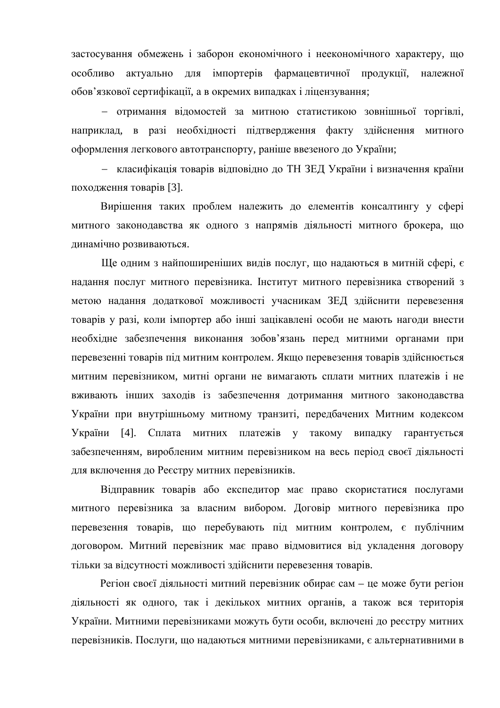застосування обмежень і заборон економічного і неекономічного характеру, що особливо актуально для імпортерів фармацевтичної продукції, належної обов'язкової сертифікації, а в окремих випадках і ліцензування;

- отримання відомостей за митною статистикою зовнішньої торгівлі, наприклад, в разі необхідності підтвердження факту здійснення митного оформлення легкового автотранспорту, раніше ввезеного до України;

- класифікація товарів відповідно до ТН ЗЕД України і визначення країни походження товарів [3].

Вирішення таких проблем належить до елементів консалтингу у сфері митного законодавства як одного з напрямів діяльності митного брокера, що динамічно розвиваються.

Ще одним з найпоширеніших видів послуг, що надаються в митній сфері, є надання послуг митного перевізника. Інститут митного перевізника створений з метою надання додаткової можливості учасникам ЗЕД здійснити перевезення товарів у разі, коли імпортер або інші зацікавлені особи не мають нагоди внести необхідне забезпечення виконання зобов'язань перед митними органами при перевезенні товарів під митним контролем. Якщо перевезення товарів здійснюється митним перевізником, митні органи не вимагають сплати митних платежів і не вживають інших заходів із забезпечення дотримання митного законодавства України при внутрішньому митному транзиті, передбачених Митним кодексом України [4]. Сплата митних платежів у такому випадку гарантується забезпеченням, виробленим митним перевізником на весь період своєї діяльності для включення до Ресстру митних перевізників.

Відправник товарів або експедитор має право скористатися послугами митного перевізника за власним вибором. Договір митного перевізника про перевезення товарів, що перебувають під митним контролем, є публічним договором. Митний перевізник має право відмовитися від укладення договору тільки за відсутності можливості здійснити перевезення товарів.

Регіон своєї діяльності митний перевізник обирає сам – це може бути регіон діяльності як одного, так і декількох митних органів, а також вся територія України. Митними перевізниками можуть бути особи, включені до реєстру митних перевізників. Послуги, що надаються митними перевізниками, є альтернативними в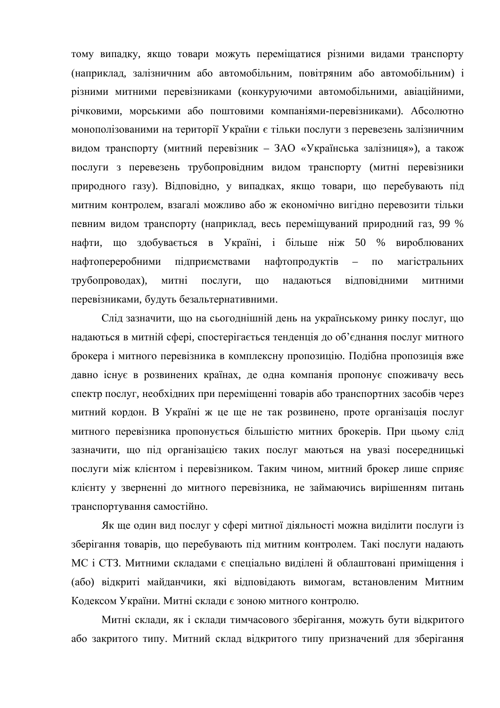тому випадку, якщо товари можуть переміщатися різними видами транспорту (наприклад, залізничним або автомобільним, повітряним або автомобільним) і різними митними перевізниками (конкуруючими автомобільними, авіаційними, річковими, морськими або поштовими компаніями-перевізниками). Абсолютно монополізованими на території України є тільки послуги з перевезень залізничним видом транспорту (митний перевізник – ЗАО «Українська залізниця»), а також послуги з перевезень трубопровідним видом транспорту (митні перевізники природного газу). Відповідно, у випадках, якщо товари, що перебувають під митним контролем, взагалі можливо або ж економічно вигідно перевозити тільки певним видом транспорту (наприклад, весь переміщуваний природний газ, 99 % нафти, що здобувається в Україні, і більше ніж 50 % вироблюваних нафтопереробними підприємствами нафтопродуктів – по магістральних трубопроводах), митні послуги, що надаються відповідними митними перевізниками, будуть безальтернативними.

Слід зазначити, що на сьогоднішній день на українському ринку послуг, що надаються в митній сфері, спостерігається тенденція до об'єднання послуг митного брокера і митного перевізника в комплексну пропозицію. Подібна пропозиція вже давно існує в розвинених країнах, де одна компанія пропонує споживачу весь спектр послуг, необхідних при переміщенні товарів або транспортних засобів через митний кордон. В Україні ж це ще не так розвинено, проте організація послуг митного перевізника пропонується більшістю митних брокерів. При цьому слід зазначити, що під організацією таких послуг маються на увазі посередницькі послуги між клієнтом і перевізником. Таким чином, митний брокер лише сприяє клієнту у зверненні до митного перевізника, не займаючись вирішенням питань транспортування самостійно.

Як ще один вид послуг у сфері митної діяльності можна виділити послуги із зберігання товарів, що перебувають під митним контролем. Такі послуги надають МС і СТЗ. Митними складами є спеціально виділені й облаштовані приміщення і (або) відкриті майданчики, які відповідають вимогам, встановленим Митним Кодексом України. Митні склади є зоною митного контролю.

Митні склади, як і склади тимчасового зберігання, можуть бути відкритого або закритого типу. Митний склад відкритого типу призначений для зберігання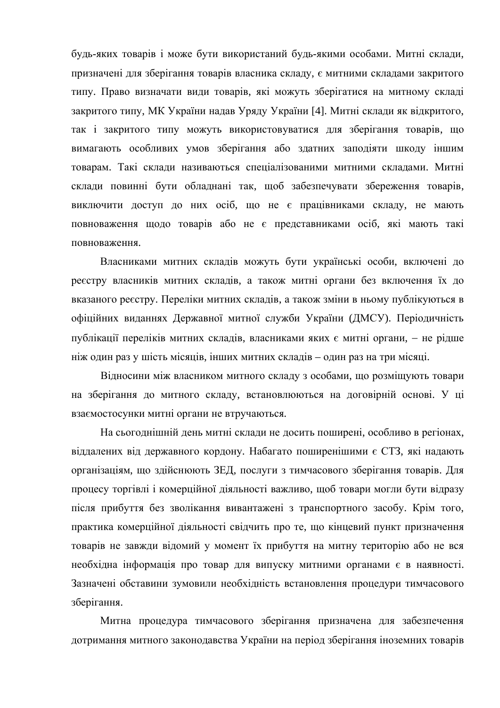будь-яких товарів і може бути використаний будь-якими особами. Митні склади, призначені для зберігання товарів власника складу, є митними складами закритого типу. Право визначати види товарів, які можуть зберігатися на митному складі закритого типу, МК України надав Уряду України [4]. Митні склади як відкритого, так і закритого типу можуть використовуватися для зберігання товарів, що вимагають особливих умов зберігання або здатних заподіяти шкоду іншим товарам. Такі склади називаються спеціалізованими митними складами. Митні склади повинні бути обладнані так, щоб забезпечувати збереження товарів, виключити доступ до них осіб, що не є працівниками складу, не мають повноваження щодо товарів або не є представниками осіб, які мають такі повноваження.

Власниками митних складів можуть бути українські особи, включені до реєстру власників митних складів, а також митні органи без включення їх до вказаного реєстру. Переліки митних складів, а також зміни в ньому публікуються в офіційних виданнях Державної митної служби України (ДМСУ). Періодичність публікації переліків митних складів, власниками яких є митні органи, - не рідше ніж один раз у шість місяців, інших митних складів – один раз на три місяці.

Відносини між власником митного складу з особами, що розміщують товари на зберігання до митного складу, встановлюються на договірній основі. У ці взаємостосунки митні органи не втручаються.

На сьогоднішній день митні склади не досить поширені, особливо в регіонах, віддалених від державного кордону. Набагато поширенішими є СТЗ, які надають організаціям, що здійснюють ЗЕД, послуги з тимчасового зберігання товарів. Для процесу торгівлі і комерційної діяльності важливо, щоб товари могли бути відразу після прибуття без зволікання вивантажені з транспортного засобу. Крім того, практика комерційної діяльності свідчить про те, що кінцевий пункт призначення товарів не завжди відомий у момент їх прибуття на митну територію або не вся необхідна інформація про товар для випуску митними органами є в наявності. Зазначені обставини зумовили необхідність встановлення процедури тимчасового зберігання.

Митна процедура тимчасового зберігання призначена для забезпечення дотримання митного законодавства України на період зберігання іноземних товарів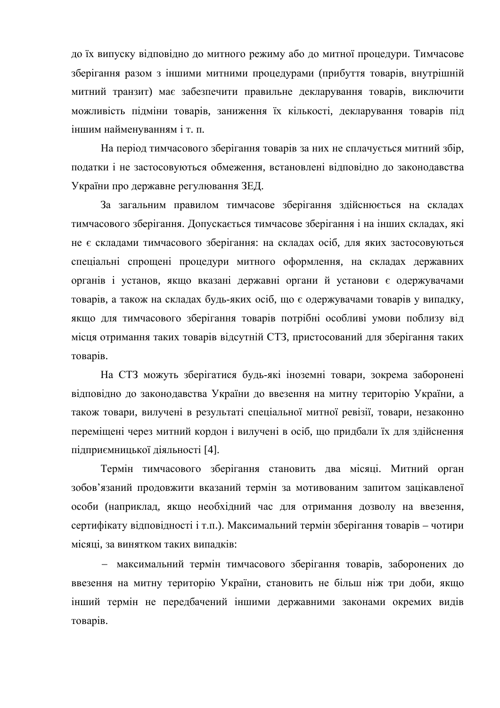до їх випуску відповідно до митного режиму або до митної процедури. Тимчасове зберігання разом з іншими митними процедурами (прибуття товарів, внутрішній митний транзит) має забезпечити правильне декларування товарів, виключити можливість підміни товарів, заниження їх кількості, декларування товарів під іншим найменуванням і т. п.

На період тимчасового зберігання товарів за них не сплачується митний збір, податки і не застосовуються обмеження, встановлені відповідно до законодавства України про державне регулювання ЗЕД.

За загальним правилом тимчасове зберігання здійснюється на складах тимчасового зберігання. Допускається тимчасове зберігання і на інших складах, які не є складами тимчасового зберігання: на складах осіб, для яких застосовуються спеціальні спрощені процедури митного оформлення, на складах державних органів і установ, якщо вказані державні органи й установи є одержувачами товарів, а також на складах будь-яких осіб, що є одержувачами товарів у випадку, якщо для тимчасового зберігання товарів потрібні особливі умови поблизу від місця отримання таких товарів відсутній СТЗ, пристосований для зберігання таких TOBapib.

На СТЗ можуть зберігатися будь-які іноземні товари, зокрема заборонені відповідно до законодавства України до ввезення на митну територію України, а також товари, вилучені в результаті спеціальної митної ревізії, товари, незаконно переміщені через митний кордон і вилучені в осіб, що придбали їх для здійснення підприємницької діяльності [4].

Термін тимчасового зберігання становить два місяці. Митний орган зобов'язаний продовжити вказаний термін за мотивованим запитом зацікавленої особи (наприклад, якщо необхідний час для отримання дозволу на ввезення, сертифікату відповідності і т.п.). Максимальний термін зберігання товарів – чотири місяці, за винятком таких випадків:

- максимальний термін тимчасового зберігання товарів, заборонених до ввезення на митну територію України, становить не більш ніж три доби, якщо інший термін не передбачений іншими державними законами окремих видів товарів.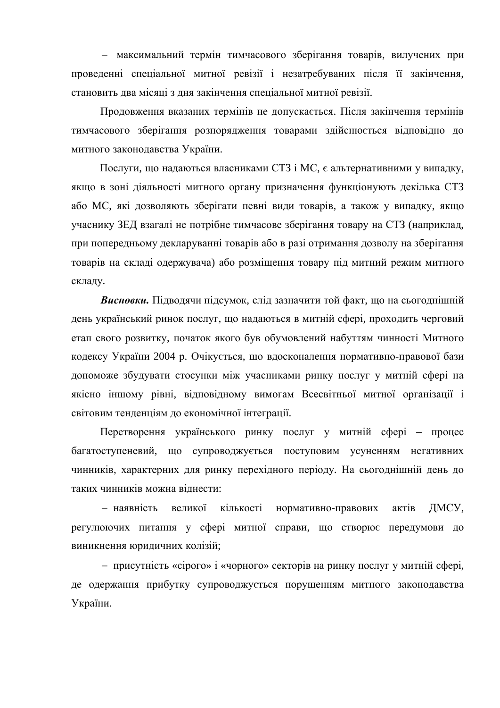- максимальний термін тимчасового зберігання товарів, вилучених при проведенні спеціальної митної ревізії і незатребуваних після її закінчення, становить два місяці з дня закінчення спеціальної митної ревізії.

Продовження вказаних термінів не допускається. Після закінчення термінів тимчасового зберігання розпорядження товарами здійснюється відповідно до митного законодавства України.

Послуги, що надаються власниками СТЗ і МС, є альтернативними у випадку, якщо в зоні діяльності митного органу призначення функціонують декілька СТЗ або МС, які дозволяють зберігати певні види товарів, а також у випадку, якщо учаснику ЗЕД взагалі не потрібне тимчасове зберігання товару на СТЗ (наприклад, при попередньому декларуванні товарів або в разі отримання дозволу на зберігання товарів на складі одержувача) або розміщення товару під митний режим митного складу.

**Висновки.** Пілводячи підсумок, слід зазначити той факт, що на сьогоднішній день український ринок послуг, що надаються в митній сфері, проходить черговий етап свого розвитку, початок якого був обумовлений набуттям чинності Митного кодексу України 2004 р. Очікується, що вдосконалення нормативно-правової бази допоможе збудувати стосунки між учасниками ринку послуг у митній сфері на якісно іншому рівні, відповідному вимогам Всесвітньої митної організації і світовим тенденціям до економічної інтеграції.

Перетворення українського ринку послуг у митній сфері – процес багатоступеневий, що супроводжується поступовим усуненням негативних чинників, характерних для ринку перехідного періоду. На сьогоднішній день до таких чинників можна вілнести:

– наявність великої кількості нормативно-правових актів ДМСУ, регулюючих питання у сфері митної справи, що створює передумови до виникнення юридичних колізій;

— присутність «сірого» і «чорного» секторів на ринку послуг у митній сфері, де одержання прибутку супроводжується порушенням митного законодавства України.